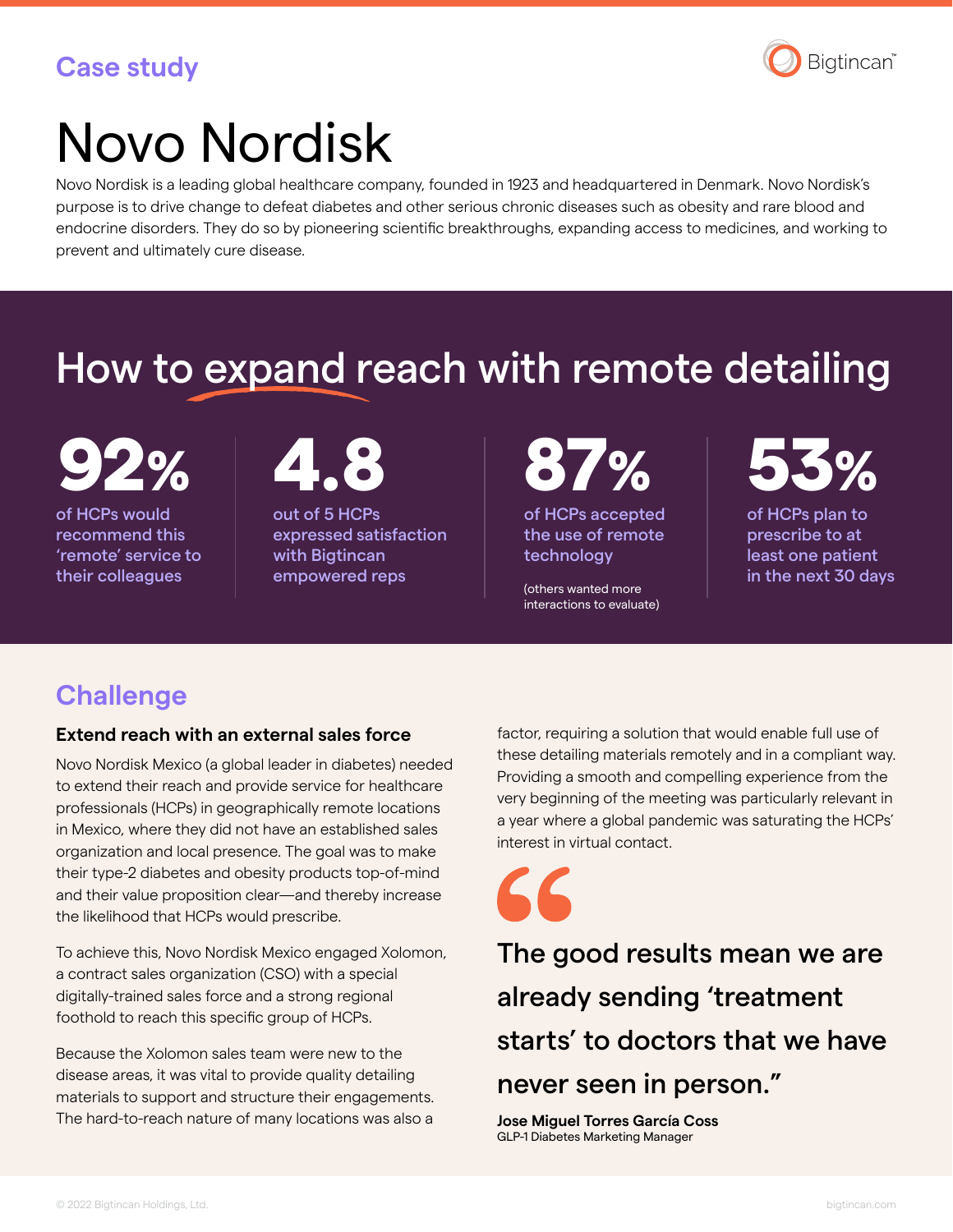### **Case study**



# Novo Nordisk

Novo Nordisk is a leading global healthcare company, founded in 1923 and headquartered in Denmark. Novo Nordisk's purpose is to drive change to defeat diabetes and other serious chronic diseases such as obesity and rare blood and endocrine disorders. They do so by pioneering scientific breakthroughs, expanding access to medicines, and working to prevent and ultimately cure disease.

## How to expand reach with remote detailing

92% 4.8 87% 53%

of HCPs would recommend this 'remote' service to their colleagues

out of 5 HCPs expressed satisfaction with Bigtincan empowered reps

of HCPs accepted the use of remote

(others wanted more interactions to evaluate)

technology

of HCPs plan to prescribe to at least one patient in the next 30 days

## **Challenge**

#### **Extend reach with an external sales force**

Novo Nordisk Mexico (a global leader in diabetes) needed to extend their reach and provide service for healthcare professionals (HCPs) in geographically remote locations in Mexico, where they did not have an established sales organization and local presence. The goal was to make their type-2 diabetes and obesity products top-of-mind and their value proposition clear—and thereby increase the likelihood that HCPs would prescribe.

To achieve this, Novo Nordisk Mexico engaged Xolomon, a contract sales organization (CSO) with a special digitally-trained sales force and a strong regional foothold to reach this specific group of HCPs.

Because the Xolomon sales team were new to the disease areas, it was vital to provide quality detailing materials to support and structure their engagements. The hard-to-reach nature of many locations was also a

factor, requiring a solution that would enable full use of these detailing materials remotely and in a compliant way. Providing a smooth and compelling experience from the very beginning of the meeting was particularly relevant in a year where a global pandemic was saturating the HCPs' interest in virtual contact.

The good results mean we are already sending 'treatment starts' to doctors that we have never seen in person."

**Jose Miguel Torres García Coss** GLP-1 Diabetes Marketing Manager